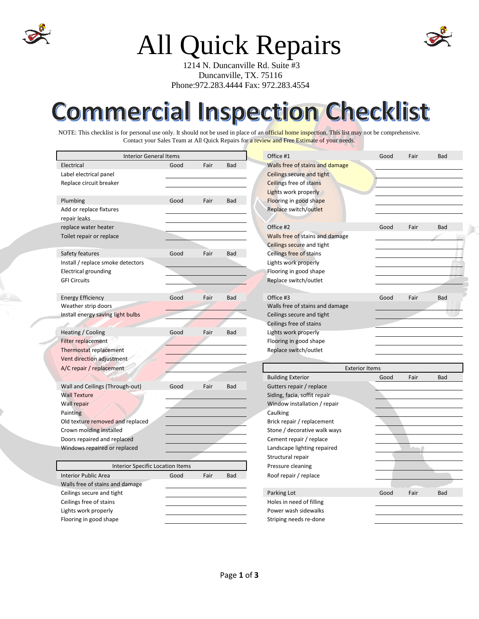

## All Quick Repairs

 1214 N. Duncanville Rd. Suite #3 Duncanville, TX. 75116 Phone:972.283.4444 Fax: 972.283.4554

## **Commercial Inspection Checklist**

NOTE: This checklist is for personal use only. It should not be used in place of an official home inspection. This list may not be comprehensive. Contact your Sales Team at All Quick Repairs for a review and Free Estimate of your needs.

| <b>Interior General Items</b>           |      |      |            | Office #1                       | Good | Fair   | Bad        |
|-----------------------------------------|------|------|------------|---------------------------------|------|--------|------------|
| Electrical                              | Good | Fair | Bad        | Walls free of stains and damage |      |        |            |
| Label electrical panel                  |      |      |            | Ceilings secure and tight       |      |        |            |
| Replace circuit breaker                 |      |      |            | Ceilings free of stains         |      |        |            |
|                                         |      |      |            | Lights work properly            |      |        |            |
| Plumbing                                | Good | Fair | Bad        | Flooring in good shape          |      |        |            |
| Add or replace fixtures                 |      |      |            | Replace switch/outlet           |      |        |            |
| repair leaks                            |      |      |            |                                 |      |        |            |
| replace water heater                    |      |      |            | Office #2                       | Good | Fair   | Bad        |
| Toilet repair or replace                |      |      |            | Walls free of stains and damage |      |        |            |
|                                         |      |      |            | Ceilings secure and tight       |      |        |            |
| Safety features                         | Good | Fair | Bad        | Ceilings free of stains         |      |        |            |
| Install / replace smoke detectors       |      |      |            | Lights work properly            |      |        |            |
| <b>Electrical grounding</b>             |      |      |            | Flooring in good shape          |      |        |            |
| <b>GFI Circuits</b>                     |      |      |            | Replace switch/outlet           |      |        |            |
|                                         |      |      |            |                                 |      |        |            |
| <b>Energy Efficiency</b>                | Good | Fair | <b>Bad</b> | Office #3                       | Good | Fair   | Bad        |
| Weather strip doors                     |      |      |            | Walls free of stains and damage |      |        |            |
| Install energy saving light bulbs       |      |      |            | Ceilings secure and tight       |      |        |            |
|                                         |      |      |            | Ceilings free of stains         |      |        |            |
| Heating / Cooling                       | Good | Fair | Bad        | Lights work properly            |      |        |            |
| Filter replacement                      |      |      |            | Flooring in good shape          |      |        |            |
| Thermostat replacement                  |      |      |            | Replace switch/outlet           |      |        |            |
| Vent direction adjustment               |      |      |            |                                 |      |        |            |
| A/C repair / replacement                |      |      |            | <b>Exterior Items</b>           |      |        |            |
|                                         |      |      |            | <b>Building Exterior</b>        | Good | Fair   | <b>Bad</b> |
| Wall and Ceilings (Through-out)         | Good | Fair | Bad        | Gutters repair / replace        |      |        |            |
| <b>Wall Texture</b>                     |      |      |            | Siding, facia, soffit repair    |      |        |            |
| Wall repair                             |      |      |            | Window installation / repair    |      |        |            |
| Painting                                |      |      |            | Caulking                        |      |        |            |
| Old texture removed and replaced        |      |      |            | Brick repair / replacement      |      |        |            |
| Crown molding installed                 |      |      |            | Stone / decorative walk ways    |      |        |            |
| Doors repaired and replaced             |      |      |            | Cement repair / replace         |      |        |            |
| Windows repaired or replaced            |      |      |            | Landscape lighting repaired     |      | $\sim$ |            |
|                                         |      |      |            | Structural repair               |      |        |            |
| <b>Interior Specific Location Items</b> |      |      |            | Pressure cleaning               |      |        |            |
| <b>Interior Public Area</b>             | Good | Fair | Bad        | Roof repair / replace           |      |        |            |
| Walls free of stains and damage         |      |      |            |                                 |      |        |            |
| Ceilings secure and tight               |      |      |            | Parking Lot                     | Good | Fair   | Bad        |
| Ceilings free of stains                 |      |      |            | Holes in need of filling        |      |        |            |
| Lights work properly                    |      |      |            | Power wash sidewalks            |      |        |            |
| Flooring in good shape                  |      |      |            | Striping needs re-done          |      |        |            |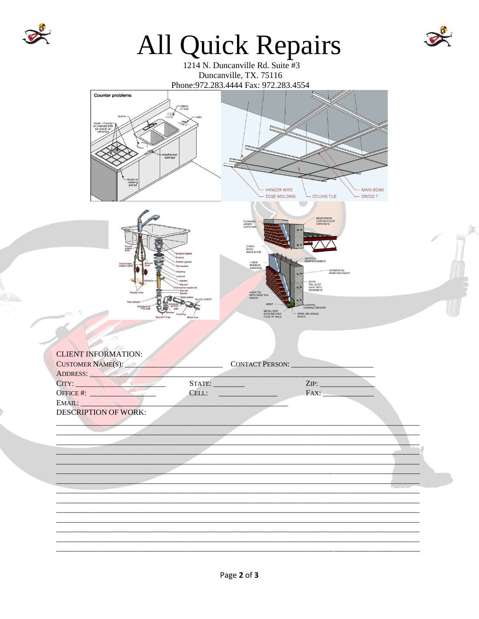

## All Quick Repairs









| <b>CLIENT INFORMATION:</b>  |                        |  |
|-----------------------------|------------------------|--|
| <b>CUSTOMER NAME(S):</b>    | <b>CONTACT PERSON:</b> |  |
| ADDRESS:                    |                        |  |
| CITY:                       | ZIP:<br>STATE:         |  |
| OFFICE #:                   | CELL:<br>FAX:          |  |
| EMAIL:                      |                        |  |
| <b>DESCRIPTION OF WORK:</b> |                        |  |
|                             |                        |  |